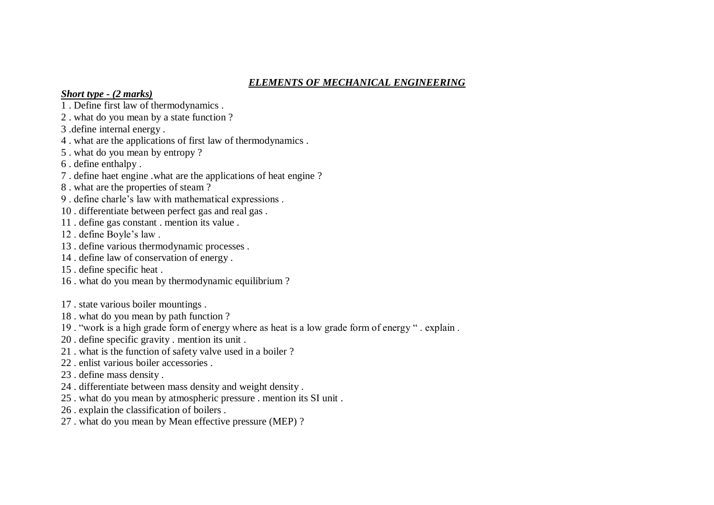## *ELEMENTS OF MECHANICAL ENGINEERING*

## *Short type - (2 marks)*

- 1 . Define first law of thermodynamics .
- 2 . what do you mean by a state function ?
- 3 .define internal energy .
- 4 . what are the applications of first law of thermodynamics .
- 5 . what do you mean by entropy ?
- 6 . define enthalpy .
- 7 . define haet engine .what are the applications of heat engine ?
- 8 . what are the properties of steam ?
- 9 . define charle's law with mathematical expressions .
- 10 . differentiate between perfect gas and real gas .
- 11 . define gas constant . mention its value .
- 12 . define Boyle's law .
- 13 . define various thermodynamic processes .
- 14 . define law of conservation of energy .
- 15 . define specific heat .
- 16 . what do you mean by thermodynamic equilibrium ?
- 17 . state various boiler mountings .
- 18 . what do you mean by path function ?
- 19 . "work is a high grade form of energy where as heat is a low grade form of energy " . explain .
- 20 . define specific gravity . mention its unit .
- 21 . what is the function of safety valve used in a boiler ?
- 22 . enlist various boiler accessories .
- 23 . define mass density .
- 24 . differentiate between mass density and weight density .
- 25 . what do you mean by atmospheric pressure . mention its SI unit .
- 26 . explain the classification of boilers .
- 27 . what do you mean by Mean effective pressure (MEP) ?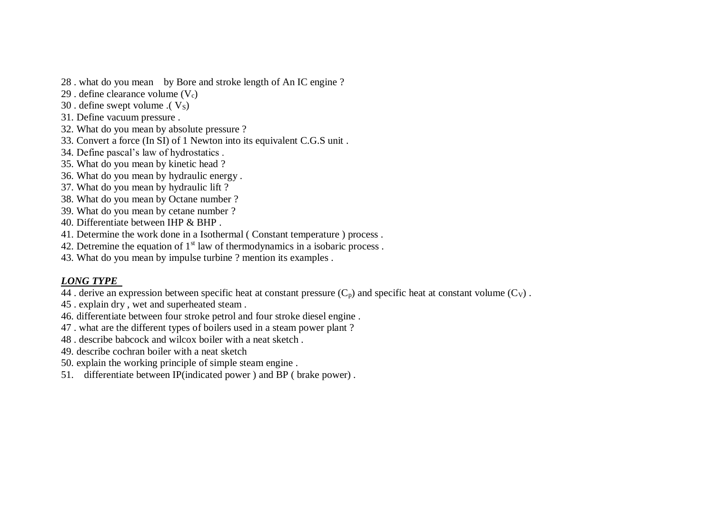- 28 . what do you mean by Bore and stroke length of An IC engine ?
- 29 . define clearance volume  $(V_c)$
- $30$ . define swept volume .(  $V_s$ )
- 31. Define vacuum pressure .
- 32. What do you mean by absolute pressure ?
- 33. Convert a force (In SI) of 1 Newton into its equivalent C.G.S unit .
- 34. Define pascal's law of hydrostatics .
- 35. What do you mean by kinetic head ?
- 36. What do you mean by hydraulic energy .
- 37. What do you mean by hydraulic lift ?
- 38. What do you mean by Octane number ?
- 39. What do you mean by cetane number ?
- 40. Differentiate between IHP & BHP .
- 41. Determine the work done in a Isothermal ( Constant temperature ) process .
- 42. Detremine the equation of  $1<sup>st</sup>$  law of thermodynamics in a isobaric process.
- 43. What do you mean by impulse turbine ? mention its examples .

## *LONG TYPE*

- $\overline{44}$ . derive an expression between specific heat at constant pressure (C<sub>p</sub>) and specific heat at constant volume (C<sub>V</sub>).
- 45 . explain dry , wet and superheated steam .
- 46. differentiate between four stroke petrol and four stroke diesel engine .
- 47 . what are the different types of boilers used in a steam power plant ?
- 48 . describe babcock and wilcox boiler with a neat sketch .
- 49. describe cochran boiler with a neat sketch
- 50. explain the working principle of simple steam engine .
- 51. differentiate between IP(indicated power ) and BP ( brake power) .